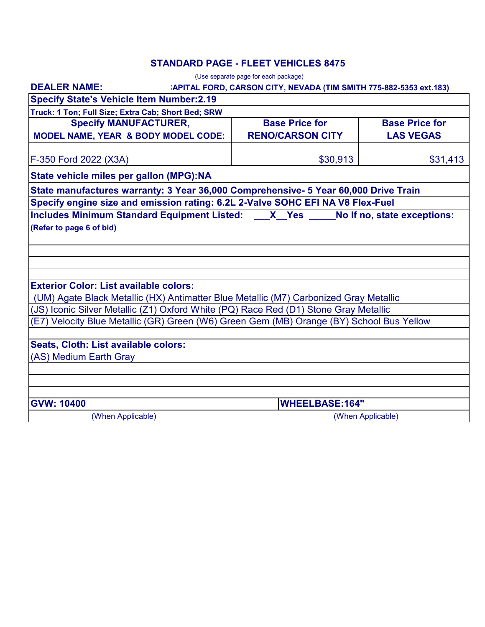### **STANDARD PAGE - FLEET VEHICLES 8475**

|                                                                                                                                                                               | (Use separate page for each package)                               |                       |
|-------------------------------------------------------------------------------------------------------------------------------------------------------------------------------|--------------------------------------------------------------------|-----------------------|
| <b>DEALER NAME:</b>                                                                                                                                                           | :APITAL FORD, CARSON CITY, NEVADA (TIM SMITH 775-882-5353 ext.183) |                       |
| <b>Specify State's Vehicle Item Number:2.19</b>                                                                                                                               |                                                                    |                       |
| Truck: 1 Ton; Full Size; Extra Cab; Short Bed; SRW                                                                                                                            |                                                                    |                       |
| <b>Specify MANUFACTURER,</b>                                                                                                                                                  | <b>Base Price for</b>                                              | <b>Base Price for</b> |
| <b>MODEL NAME, YEAR &amp; BODY MODEL CODE:</b>                                                                                                                                | <b>RENO/CARSON CITY</b>                                            | <b>LAS VEGAS</b>      |
| F-350 Ford 2022 (X3A)                                                                                                                                                         | \$30,913                                                           | \$31,413              |
| State vehicle miles per gallon (MPG):NA                                                                                                                                       |                                                                    |                       |
| State manufactures warranty: 3 Year 36,000 Comprehensive- 5 Year 60,000 Drive Train                                                                                           |                                                                    |                       |
| Specify engine size and emission rating: 6.2L 2-Valve SOHC EFI NA V8 Flex-Fuel                                                                                                |                                                                    |                       |
| Includes Minimum Standard Equipment Listed: X Yes No If no, state exceptions:                                                                                                 |                                                                    |                       |
| (Refer to page 6 of bid)                                                                                                                                                      |                                                                    |                       |
|                                                                                                                                                                               |                                                                    |                       |
|                                                                                                                                                                               |                                                                    |                       |
|                                                                                                                                                                               |                                                                    |                       |
| <b>Exterior Color: List available colors:</b>                                                                                                                                 |                                                                    |                       |
|                                                                                                                                                                               |                                                                    |                       |
| (UM) Agate Black Metallic (HX) Antimatter Blue Metallic (M7) Carbonized Gray Metallic<br>(JS) Iconic Silver Metallic (Z1) Oxford White (PQ) Race Red (D1) Stone Gray Metallic |                                                                    |                       |
| (E7) Velocity Blue Metallic (GR) Green (W6) Green Gem (MB) Orange (BY) School Bus Yellow                                                                                      |                                                                    |                       |
|                                                                                                                                                                               |                                                                    |                       |
| Seats, Cloth: List available colors:                                                                                                                                          |                                                                    |                       |
| (AS) Medium Earth Gray                                                                                                                                                        |                                                                    |                       |
|                                                                                                                                                                               |                                                                    |                       |
|                                                                                                                                                                               |                                                                    |                       |
|                                                                                                                                                                               |                                                                    |                       |
| <b>GVW: 10400</b>                                                                                                                                                             | <b>WHEELBASE:164"</b>                                              |                       |
| (When Applicable)                                                                                                                                                             |                                                                    | (When Applicable)     |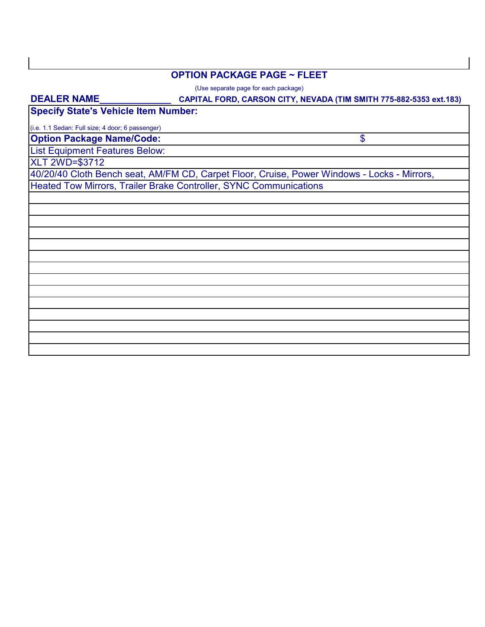#### **OPTION PACKAGE PAGE ~ FLEET**

(Use separate page for each package)

# **CAPITAL FORD, CARSON CITY, NEVADA (TIM SMITH 775-882-5353 ext.183) Option Package Name/Code:** List Equipment Features Below: **Specify State's Vehicle Item Number:** XLT 2WD=\$3712 40/20/40 Cloth Bench seat, AM/FM CD, Carpet Floor, Cruise, Power Windows - Locks - Mirrors, Heated Tow Mirrors, Trailer Brake Controller, SYNC Communications (i.e. 1.1 Sedan: Full size; 4 door; 6 passenger) \$ **DEALER NAME\_\_\_\_\_\_\_\_\_\_\_\_\_\_**